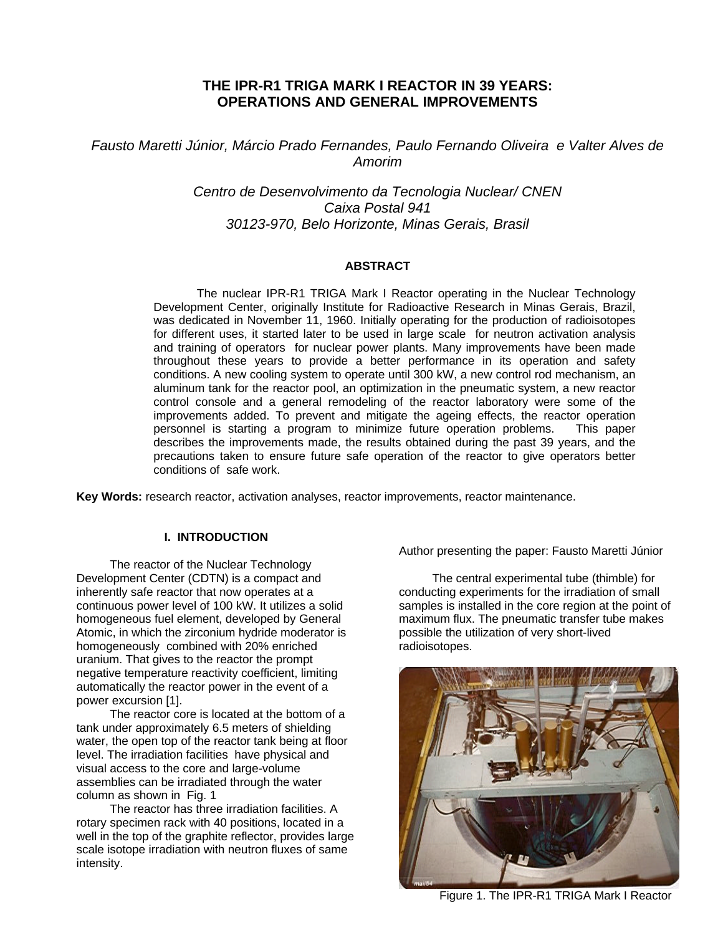# **THE IPR-R1 TRIGA MARK I REACTOR IN 39 YEARS: OPERATIONS AND GENERAL IMPROVEMENTS**

*Fausto Maretti Júnior, Márcio Prado Fernandes, Paulo Fernando Oliveira e Valter Alves de Amorim*

> *Centro de Desenvolvimento da Tecnologia Nuclear/ CNEN Caixa Postal 941 30123-970, Belo Horizonte, Minas Gerais, Brasil*

# **ABSTRACT**

The nuclear IPR-R1 TRIGA Mark I Reactor operating in the Nuclear Technology Development Center, originally Institute for Radioactive Research in Minas Gerais, Brazil, was dedicated in November 11, 1960. Initially operating for the production of radioisotopes for different uses, it started later to be used in large scale for neutron activation analysis and training of operators for nuclear power plants. Many improvements have been made throughout these years to provide a better performance in its operation and safety conditions. A new cooling system to operate until 300 kW, a new control rod mechanism, an aluminum tank for the reactor pool, an optimization in the pneumatic system, a new reactor control console and a general remodeling of the reactor laboratory were some of the improvements added. To prevent and mitigate the ageing effects, the reactor operation personnel is starting a program to minimize future operation problems. This paper describes the improvements made, the results obtained during the past 39 years, and the precautions taken to ensure future safe operation of the reactor to give operators better conditions of safe work.

**Key Words:** research reactor, activation analyses, reactor improvements, reactor maintenance.

#### **I. INTRODUCTION**

The reactor of the Nuclear Technology Development Center (CDTN) is a compact and inherently safe reactor that now operates at a continuous power level of 100 kW. It utilizes a solid homogeneous fuel element, developed by General Atomic, in which the zirconium hydride moderator is homogeneously combined with 20% enriched uranium. That gives to the reactor the prompt negative temperature reactivity coefficient, limiting automatically the reactor power in the event of a power excursion [1].

The reactor core is located at the bottom of a tank under approximately 6.5 meters of shielding water, the open top of the reactor tank being at floor level. The irradiation facilities have physical and visual access to the core and large-volume assemblies can be irradiated through the water column as shown in Fig. 1

The reactor has three irradiation facilities. A rotary specimen rack with 40 positions, located in a well in the top of the graphite reflector, provides large scale isotope irradiation with neutron fluxes of same intensity.

Author presenting the paper: Fausto Maretti Júnior

The central experimental tube (thimble) for conducting experiments for the irradiation of small samples is installed in the core region at the point of maximum flux. The pneumatic transfer tube makes possible the utilization of very short-lived radioisotopes.



Figure 1. The IPR-R1 TRIGA Mark I Reactor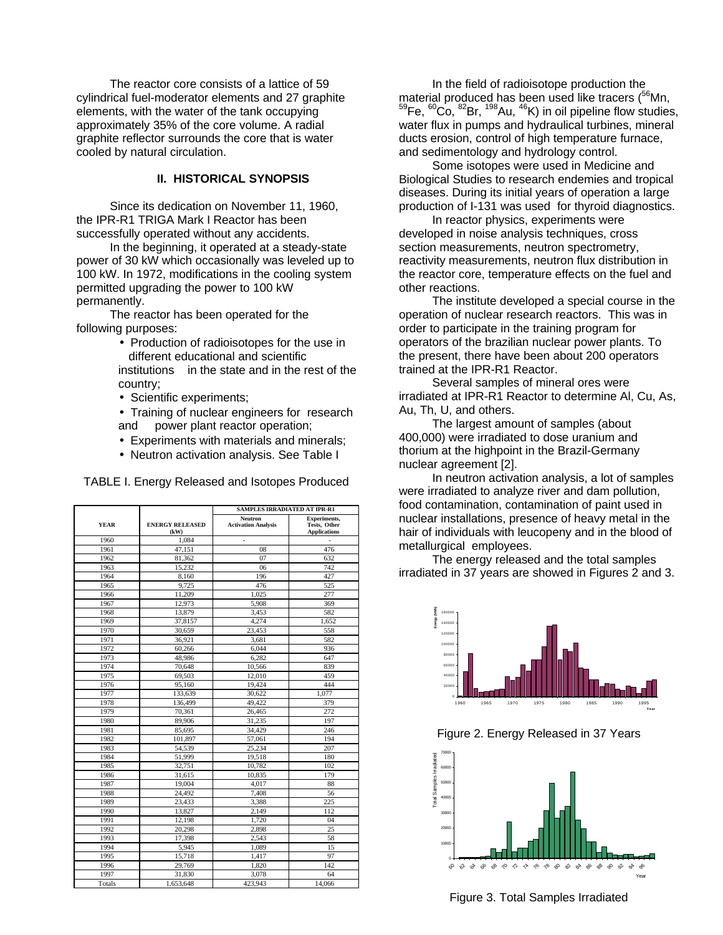The reactor core consists of a lattice of 59 cylindrical fuel-moderator elements and 27 graphite elements, with the water of the tank occupying approximately 35% of the core volume. A radial graphite reflector surrounds the core that is water cooled by natural circulation.

#### **II. HISTORICAL SYNOPSIS**

Since its dedication on November 11, 1960, the IPR-R1 TRIGA Mark I Reactor has been successfully operated without any accidents.

In the beginning, it operated at a steady-state power of 30 kW which occasionally was leveled up to 100 kW. In 1972, modifications in the cooling system permitted upgrading the power to 100 kW permanently.

The reactor has been operated for the following purposes:

- Production of radioisotopes for the use in different educational and scientific institutions in the state and in the rest of the country;
- Scientific experiments;

• Training of nuclear engineers for research and power plant reactor operation;

- Experiments with materials and minerals;
- Neutron activation analysis. See Table I

|             | <b>ENERGY RELEASED</b><br>(kW) | SAMPLES IRRADIATED AT IPR-R1                 |                                                     |
|-------------|--------------------------------|----------------------------------------------|-----------------------------------------------------|
| <b>YEAR</b> |                                | <b>Neutron</b><br><b>Activation Analysis</b> | Experiments,<br>Tests, Other<br><b>Applications</b> |
| 1960        | 1.084                          | $\overline{\phantom{a}}$                     |                                                     |
| 1961        | 47,151                         | 08                                           | 476                                                 |
| 1962        | 81,362                         | 07                                           | 632                                                 |
| 1963        | 15,232                         | 06                                           | 742                                                 |
| 1964        | 8,160                          | 196                                          | 427                                                 |
| 1965        | 9,725                          | 476                                          | 525                                                 |
| 1966        | 11,209                         | 1,025                                        | 277                                                 |
| 1967        | 12,973                         | 5,908                                        | 369                                                 |
| 1968        | 13,879                         | 3,453                                        | 582                                                 |
| 1969        | 37,8157                        | 4,274                                        | 1,652                                               |
| 1970        | 30.659                         | 23.453                                       | 558                                                 |
| 1971        | 36,921                         | 3,681                                        | 582                                                 |
| 1972        | 60,266                         | 6.044                                        | 936                                                 |
| 1973        | 48.986                         | 6.282                                        | 647                                                 |
| 1974        | 70,648                         | 10,566                                       | 839                                                 |
| 1975        | 69,503                         | 12,010                                       | 459                                                 |
| 1976        | 95,160                         | 19,424                                       | 444                                                 |
| 1977        | 133,639                        | 30,622                                       | 1,077                                               |
| 1978        | 136,499                        | 49.422                                       | 379                                                 |
| 1979        | 70,361                         | 26,465                                       | 272                                                 |
| 1980        | 89,906                         | 31,235                                       | 197                                                 |
| 1981        | 85,695                         | 34,429                                       | 246                                                 |
| 1982        | 101,897                        | 57,061                                       | 194                                                 |
| 1983        | 54,539                         | 25,234                                       | 207                                                 |
| 1984        | 51,999                         | 19,518                                       | 180                                                 |
| 1985        | 32.751                         | 10,782                                       | $10\overline{2}$                                    |
| 1986        | 31,615                         | 10,835                                       | 179                                                 |
| 1987        | 19,004                         | 4.017                                        | 88                                                  |
| 1988        | 24,492                         | 7,408                                        | 56                                                  |
| 1989        | 23,433                         | 3,388                                        | 225                                                 |
| 1990        | 13,827                         | 2.149                                        | 112                                                 |
| 1991        | 12.198                         | 1.720                                        | 04                                                  |
| 1992        | 20,298                         | 2.898                                        | 25                                                  |
| 1993        | 17,398                         | 2,543                                        | 58                                                  |
| 1994        | 5,945                          | 1.089                                        | 15                                                  |
| 1995        | 15,718                         | 1,417                                        | 97                                                  |
| 1996        | 29,769                         | 1.820                                        | 142                                                 |
| 1997        | 31,830                         | 3,078                                        | 64                                                  |
| Totals      | 1,653,648                      | 423,943                                      | 14,066                                              |
|             |                                |                                              |                                                     |

TABLE I. Energy Released and Isotopes Produced

In the field of radioisotope production the material produced has been used like tracers (<sup>56</sup>Mn,  $^{59}$ Fe,  $^{60}$ Co,  $^{82}$ Br,  $^{198}$ Au,  $^{46}$ K) in oil pipeline flow studies, water flux in pumps and hydraulical turbines, mineral ducts erosion, control of high temperature furnace, and sedimentology and hydrology control.

Some isotopes were used in Medicine and Biological Studies to research endemies and tropical diseases. During its initial years of operation a large production of I-131 was used for thyroid diagnostics.

In reactor physics, experiments were developed in noise analysis techniques, cross section measurements, neutron spectrometry, reactivity measurements, neutron flux distribution in the reactor core, temperature effects on the fuel and other reactions.

The institute developed a special course in the operation of nuclear research reactors. This was in order to participate in the training program for operators of the brazilian nuclear power plants. To the present, there have been about 200 operators trained at the IPR-R1 Reactor.

Several samples of mineral ores were irradiated at IPR-R1 Reactor to determine Al, Cu, As, Au, Th, U, and others.

The largest amount of samples (about 400,000) were irradiated to dose uranium and thorium at the highpoint in the Brazil-Germany nuclear agreement [2].

In neutron activation analysis, a lot of samples were irradiated to analyze river and dam pollution, food contamination, contamination of paint used in nuclear installations, presence of heavy metal in the hair of individuals with leucopeny and in the blood of metallurgical employees.

The energy released and the total samples irradiated in 37 years are showed in Figures 2 and 3.



Figure 2. Energy Released in 37 Years



Figure 3. Total Samples Irradiated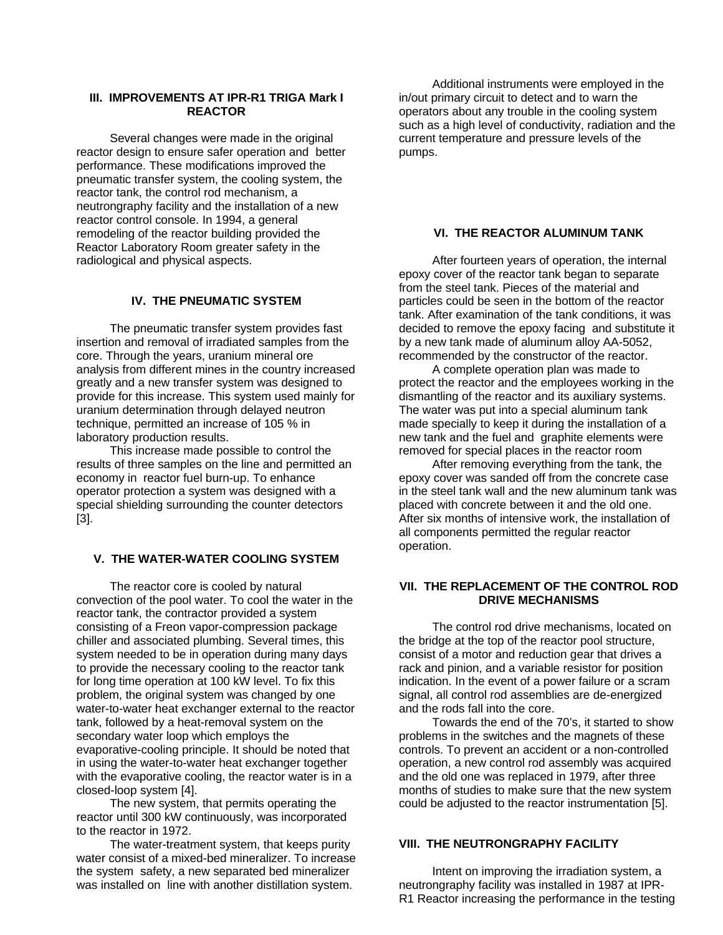#### **III. IMPROVEMENTS AT IPR-R1 TRIGA Mark I REACTOR**

Several changes were made in the original reactor design to ensure safer operation and better performance. These modifications improved the pneumatic transfer system, the cooling system, the reactor tank, the control rod mechanism, a neutrongraphy facility and the installation of a new reactor control console. In 1994, a general remodeling of the reactor building provided the Reactor Laboratory Room greater safety in the radiological and physical aspects.

# **IV. THE PNEUMATIC SYSTEM**

The pneumatic transfer system provides fast insertion and removal of irradiated samples from the core. Through the years, uranium mineral ore analysis from different mines in the country increased greatly and a new transfer system was designed to provide for this increase. This system used mainly for uranium determination through delayed neutron technique, permitted an increase of 105 % in laboratory production results.

This increase made possible to control the results of three samples on the line and permitted an economy in reactor fuel burn-up. To enhance operator protection a system was designed with a special shielding surrounding the counter detectors [3].

# **V. THE WATER-WATER COOLING SYSTEM**

The reactor core is cooled by natural convection of the pool water. To cool the water in the reactor tank, the contractor provided a system consisting of a Freon vapor-compression package chiller and associated plumbing. Several times, this system needed to be in operation during many days to provide the necessary cooling to the reactor tank for long time operation at 100 kW level. To fix this problem, the original system was changed by one water-to-water heat exchanger external to the reactor tank, followed by a heat-removal system on the secondary water loop which employs the evaporative-cooling principle. It should be noted that in using the water-to-water heat exchanger together with the evaporative cooling, the reactor water is in a closed-loop system [4].

The new system, that permits operating the reactor until 300 kW continuously, was incorporated to the reactor in 1972.

The water-treatment system, that keeps purity water consist of a mixed-bed mineralizer. To increase the system safety, a new separated bed mineralizer was installed on line with another distillation system.

Additional instruments were employed in the in/out primary circuit to detect and to warn the operators about any trouble in the cooling system such as a high level of conductivity, radiation and the current temperature and pressure levels of the pumps.

# **VI. THE REACTOR ALUMINUM TANK**

After fourteen years of operation, the internal epoxy cover of the reactor tank began to separate from the steel tank. Pieces of the material and particles could be seen in the bottom of the reactor tank. After examination of the tank conditions, it was decided to remove the epoxy facing and substitute it by a new tank made of aluminum alloy AA-5052, recommended by the constructor of the reactor.

A complete operation plan was made to protect the reactor and the employees working in the dismantling of the reactor and its auxiliary systems. The water was put into a special aluminum tank made specially to keep it during the installation of a new tank and the fuel and graphite elements were removed for special places in the reactor room

After removing everything from the tank, the epoxy cover was sanded off from the concrete case in the steel tank wall and the new aluminum tank was placed with concrete between it and the old one. After six months of intensive work, the installation of all components permitted the regular reactor operation.

#### **VII. THE REPLACEMENT OF THE CONTROL ROD DRIVE MECHANISMS**

The control rod drive mechanisms, located on the bridge at the top of the reactor pool structure, consist of a motor and reduction gear that drives a rack and pinion, and a variable resistor for position indication. In the event of a power failure or a scram signal, all control rod assemblies are de-energized and the rods fall into the core.

Towards the end of the 70's, it started to show problems in the switches and the magnets of these controls. To prevent an accident or a non-controlled operation, a new control rod assembly was acquired and the old one was replaced in 1979, after three months of studies to make sure that the new system could be adjusted to the reactor instrumentation [5].

# **VIII. THE NEUTRONGRAPHY FACILITY**

Intent on improving the irradiation system, a neutrongraphy facility was installed in 1987 at IPR-R1 Reactor increasing the performance in the testing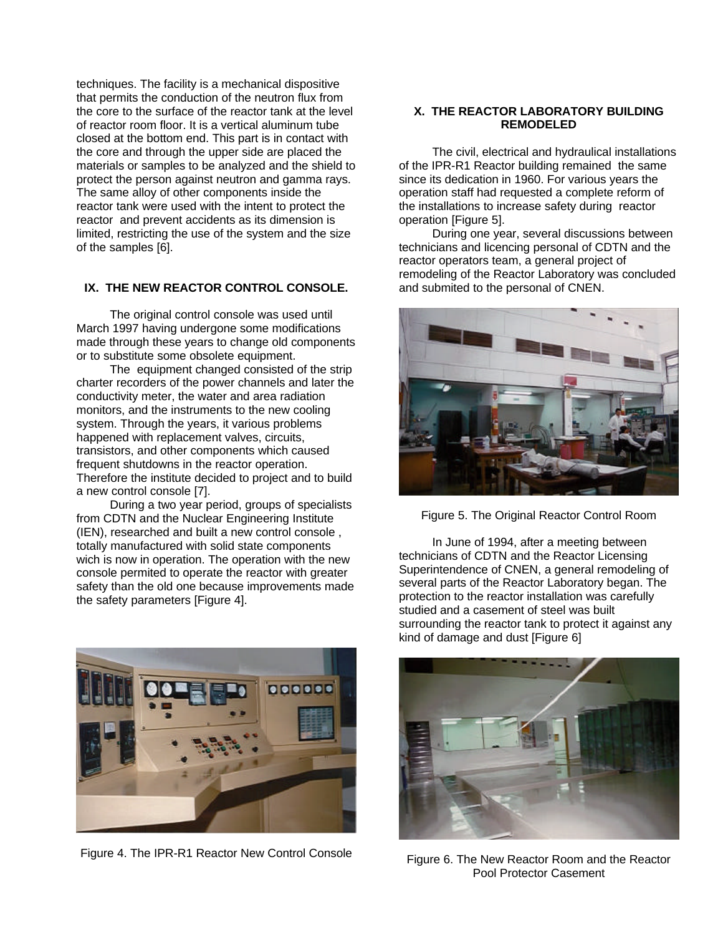techniques. The facility is a mechanical dispositive that permits the conduction of the neutron flux from the core to the surface of the reactor tank at the level of reactor room floor. It is a vertical aluminum tube closed at the bottom end. This part is in contact with the core and through the upper side are placed the materials or samples to be analyzed and the shield to protect the person against neutron and gamma rays. The same alloy of other components inside the reactor tank were used with the intent to protect the reactor and prevent accidents as its dimension is limited, restricting the use of the system and the size of the samples [6].

# **IX. THE NEW REACTOR CONTROL CONSOLE.**

The original control console was used until March 1997 having undergone some modifications made through these years to change old components or to substitute some obsolete equipment.

The equipment changed consisted of the strip charter recorders of the power channels and later the conductivity meter, the water and area radiation monitors, and the instruments to the new cooling system. Through the years, it various problems happened with replacement valves, circuits, transistors, and other components which caused frequent shutdowns in the reactor operation. Therefore the institute decided to project and to build a new control console [7].

During a two year period, groups of specialists from CDTN and the Nuclear Engineering Institute (IEN), researched and built a new control console , totally manufactured with solid state components wich is now in operation. The operation with the new console permited to operate the reactor with greater safety than the old one because improvements made the safety parameters [Figure 4].



Figure 4. The IPR-R1 Reactor New Control Console

# **X. THE REACTOR LABORATORY BUILDING REMODELED**

The civil, electrical and hydraulical installations of the IPR-R1 Reactor building remained the same since its dedication in 1960. For various years the operation staff had requested a complete reform of the installations to increase safety during reactor operation [Figure 5].

During one year, several discussions between technicians and licencing personal of CDTN and the reactor operators team, a general project of remodeling of the Reactor Laboratory was concluded and submited to the personal of CNEN.



Figure 5. The Original Reactor Control Room

In June of 1994, after a meeting between technicians of CDTN and the Reactor Licensing Superintendence of CNEN, a general remodeling of several parts of the Reactor Laboratory began. The protection to the reactor installation was carefully studied and a casement of steel was built surrounding the reactor tank to protect it against any kind of damage and dust [Figure 6]



Figure 6. The New Reactor Room and the Reactor Pool Protector Casement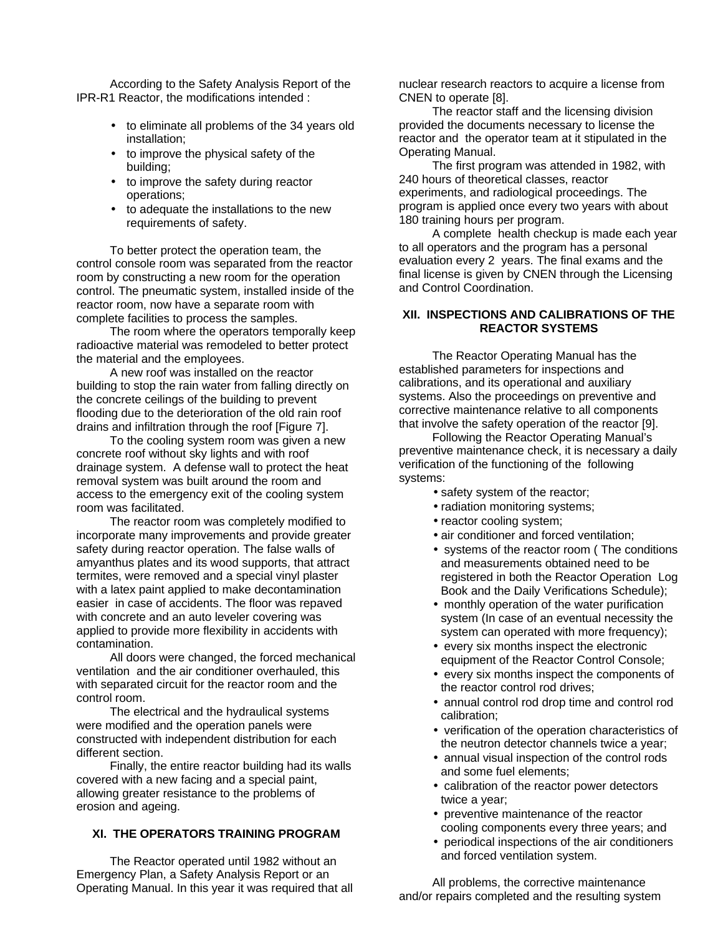According to the Safety Analysis Report of the IPR-R1 Reactor, the modifications intended :

- to eliminate all problems of the 34 years old installation;
- to improve the physical safety of the building;
- to improve the safety during reactor operations;
- to adequate the installations to the new requirements of safety.

To better protect the operation team, the control console room was separated from the reactor room by constructing a new room for the operation control. The pneumatic system, installed inside of the reactor room, now have a separate room with complete facilities to process the samples.

The room where the operators temporally keep radioactive material was remodeled to better protect the material and the employees.

A new roof was installed on the reactor building to stop the rain water from falling directly on the concrete ceilings of the building to prevent flooding due to the deterioration of the old rain roof drains and infiltration through the roof [Figure 7].

To the cooling system room was given a new concrete roof without sky lights and with roof drainage system. A defense wall to protect the heat removal system was built around the room and access to the emergency exit of the cooling system room was facilitated.

The reactor room was completely modified to incorporate many improvements and provide greater safety during reactor operation. The false walls of amyanthus plates and its wood supports, that attract termites, were removed and a special vinyl plaster with a latex paint applied to make decontamination easier in case of accidents. The floor was repaved with concrete and an auto leveler covering was applied to provide more flexibility in accidents with contamination.

All doors were changed, the forced mechanical ventilation and the air conditioner overhauled, this with separated circuit for the reactor room and the control room.

The electrical and the hydraulical systems were modified and the operation panels were constructed with independent distribution for each different section.

Finally, the entire reactor building had its walls covered with a new facing and a special paint, allowing greater resistance to the problems of erosion and ageing.

# **XI. THE OPERATORS TRAINING PROGRAM**

The Reactor operated until 1982 without an Emergency Plan, a Safety Analysis Report or an Operating Manual. In this year it was required that all nuclear research reactors to acquire a license from CNEN to operate [8].

The reactor staff and the licensing division provided the documents necessary to license the reactor and the operator team at it stipulated in the Operating Manual.

The first program was attended in 1982, with 240 hours of theoretical classes, reactor experiments, and radiological proceedings. The program is applied once every two years with about 180 training hours per program.

A complete health checkup is made each year to all operators and the program has a personal evaluation every 2 years. The final exams and the final license is given by CNEN through the Licensing and Control Coordination.

# **XII. INSPECTIONS AND CALIBRATIONS OF THE REACTOR SYSTEMS**

The Reactor Operating Manual has the established parameters for inspections and calibrations, and its operational and auxiliary systems. Also the proceedings on preventive and corrective maintenance relative to all components that involve the safety operation of the reactor [9].

Following the Reactor Operating Manual's preventive maintenance check, it is necessary a daily verification of the functioning of the following systems:

- safety system of the reactor;
- radiation monitoring systems;
- reactor cooling system:
- air conditioner and forced ventilation:
- systems of the reactor room ( The conditions and measurements obtained need to be registered in both the Reactor Operation Log Book and the Daily Verifications Schedule);
- monthly operation of the water purification system (In case of an eventual necessity the system can operated with more frequency);
- every six months inspect the electronic equipment of the Reactor Control Console;
- every six months inspect the components of the reactor control rod drives;
- annual control rod drop time and control rod calibration;
- verification of the operation characteristics of the neutron detector channels twice a year;
- annual visual inspection of the control rods and some fuel elements;
- calibration of the reactor power detectors twice a year;
- preventive maintenance of the reactor cooling components every three years; and
- periodical inspections of the air conditioners and forced ventilation system.

All problems, the corrective maintenance and/or repairs completed and the resulting system